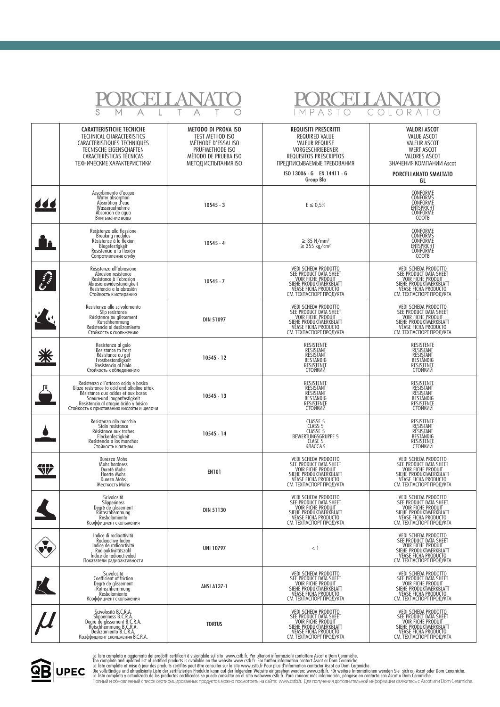|   | S                                                                                                                                                                                                                                                                     |                                                                                                                                        | A S<br>R                                                                                                                                                                                     |                                                                                                                                                                  |
|---|-----------------------------------------------------------------------------------------------------------------------------------------------------------------------------------------------------------------------------------------------------------------------|----------------------------------------------------------------------------------------------------------------------------------------|----------------------------------------------------------------------------------------------------------------------------------------------------------------------------------------------|------------------------------------------------------------------------------------------------------------------------------------------------------------------|
|   | <b>CARATTERISTICHE TECNICHE</b><br>TECHNICAL CHARACTERISTICS<br>CARACTERISTIQUES TECHNIQUES<br>TECNISCHE EIGENSCHAFTEN<br>CARACTERÍSTICAS TÉCNICAS<br>ТЕХНИЧЕСКИЕ ХАРАКТЕРИСТИКИ                                                                                      | <b>METODO DI PROVA ISO</b><br>TEST METHOD ISO<br>MÉTHODE D'ESSAI ISO<br>PRÜFMETHODE ISO<br>MÉTODO DE PRUEBA ISO<br>МЕТОД ИСПЫТАНИЯ ISO | <b>REQUISITI PRESCRITTI</b><br>REQUIRED VALUE<br><b>VALEUR REQUISE</b><br>VORGESCHRIEBENER<br>REQUISITOS PRESCRIPTOS<br>ПРЕДПИСЫВАЕМЫЕ ТРЕБОВАНИЯ<br>ISO 13006 - G EN 14411 - G<br>Group Bla | <b>VALORI ASCOT</b><br><b>VALUE ASCOT</b><br><b>VALEUR ASCOT</b><br><b>WERT ASCOT</b><br>VALORES ASCOT<br>ЗНАЧЕНИЯ КОМПАНИИ Ascot<br>PORCELLANATO SMALTATO<br>GL |
|   | Assorbimento d'acqua<br>Water absorption<br>Absorbtion d'eau<br>Wasseraufnahme<br>Absorción de agua<br>Впитывание воды                                                                                                                                                | $10545 - 3$                                                                                                                            | $E \le 0.5\%$                                                                                                                                                                                | CONFORME<br>CONFORMS<br>CONFORME<br><b>ENTSPRICHT</b><br>CONFORME<br>COOTB                                                                                       |
|   | Resistenza alla flessione<br>Breaking modulus<br>Résistance à la flexion<br>Biegefestigkeit<br>Resistencia a la flexión<br>Сопротивление сгибу                                                                                                                        | $10545 - 4$                                                                                                                            | $\geq$ 35 N/mm <sup>2</sup><br>$\geq$ 355 kg/cm <sup>2</sup>                                                                                                                                 | CONFORME<br>CONFORMS<br>CONFORME<br><b>ENTSPRICHT</b><br>CONFORME<br>COOTB                                                                                       |
|   | Resistenza all'abrasione<br>Abrasion resistance<br>Resistance à l'abrasion<br>Abrasionswiderstandigkeit<br>Resistencia a la abrasión<br>Стойкость к истиранию                                                                                                         | $10545 - 7$                                                                                                                            | VEDI SCHEDA PRODOTTO<br>SEE PRODUCT DATA SHEET<br>VOIR FICHE PRODUIT<br>SIEHE PRODUKTMERKBLATT<br>VÉASE FICHA PRODUCTO<br>CM. TEXNACIOPT NPOДУКТА                                            | VEDI SCHEDA PRODOTTO<br>SEE PRODUCT DATA SHEET<br>VOIR FICHE PRODUIT<br>SIEHE PRODUKTMERKBLATT<br>VÉASE FICHA PRODUCTO<br>CM. TEXNACIOPT ITPOAYKTA               |
|   | Resistenza allo scivolamento<br>Slip resistance<br>Résistance au glissement<br>Rutschhemmung<br>Resistencia al deslizamiento<br>Стойкость к скольжению                                                                                                                | <b>DIN 51097</b>                                                                                                                       | VEDI SCHEDA PRODOTTO<br>SEE PRODUCT DATA SHEET<br><b>VOIR FICHE PRODUIT</b><br>SIEHE PRODUKTMERKBLATT<br>VEASE FICHA PRODUCTO<br>СМ. ТЕХПАСПОРТ ПРОДУКТА                                     | VEDI SCHEDA PRODOTTO<br>SEE PRODUCT DATA SHEET<br>VOIR FICHE PRODUIT<br>VEASE FICHA PRODUCTO<br>СМ. ТЕХПАСПОРТ ПРОДУКТА                                          |
|   | Resistenza al gelo<br>Resistance to frost<br>Résistance au gel<br>Frostbestandigkeit<br>Resistencia al hielo<br>Стойкость к обледенению                                                                                                                               | $10545 - 12$                                                                                                                           | <b>RESISTENTE</b><br>RĘSISTANT<br>RÉSISTANT<br>BESTÄNDIG<br>RESISTENTE<br>СТОЙКИЙ                                                                                                            | RESISTENTE<br>RESISTANT<br>RÉSISTANT<br>BESTÄNDIG<br>RESISTENTE<br>СТОЙКИЙ                                                                                       |
|   | Resistenza all'attacco acido e basico<br>Glaze resistance to acid and alkaline attak<br>Résistance aux acides et aux bases<br>Saeure-und laugenfestigkeit<br>Resistencia al atagunisamenti continuale di province di controversi Resistencia al ataque ácido у básico | $10545 - 13$                                                                                                                           | <b>RESISTENTE</b><br>RESISTANT<br>RÉSISTANT<br>BESTÄNDIG<br><b>RESISTENTE</b><br>СТОЙКИЙ                                                                                                     | RESISTENTE<br>RESISTANT<br>RÉSISTANT<br>BESTÄNDIG<br>RESISTENTE<br>СТОЙКИЙ                                                                                       |
|   | Resistenza alle macchie<br>Stain resistance<br>Résistance aux taches<br>Fleckenfestigkeit<br>Resistencia a las manchas<br>Стойкость к пятнам                                                                                                                          | $10545 - 14$                                                                                                                           | CLASSE 5<br>CLASS 5<br>CLASSE 5<br>BEWERTUNGSGRUPPE 5<br>CLASE 5<br>KJACCA 5                                                                                                                 | RESISTENTE<br>RESISTANT<br>RÉSISTANT<br>BESTÄNDIG<br>RESISTENTE<br>СТОИКИИ                                                                                       |
| V | Durezza Mohs<br>Mohs hardness<br>Dureté Mohs<br>Haerte Mohs<br>Dureza Mohs<br>Жесткость Mohs                                                                                                                                                                          | <b>EN101</b>                                                                                                                           | VEDI SCHEDA PRODOTTO<br>SEE PRODUCT DATA SHEET<br><b>VOIR FICHE PRODUIT</b><br>SIEHE PRODUKTMERKBLATT<br>СМ. ТЕХПАСПОРТ ПРОДУКТА                                                             | VEDI SCHEDA PRODOTTO<br>SEE PRODUCT DATA SHEET<br>VOIR FICHE PRODUIT<br>VÉASE FICHA PRODUCTO<br>СМ. ТЕХПАСПОРТ ПРОДУКТА                                          |
|   | Scivolosità<br>Slipperiness<br>Degré de glissement<br>Ruthschhemmung<br>Resbalamiento<br>Коэффициент скольжения                                                                                                                                                       | <b>DIN 51130</b>                                                                                                                       | VEDI SCHEDA PRODOTTO<br>SEE PRODUCT DATA SHEET<br><b>VOIR FICHE PRODUIT</b><br>SIEHE PRODUKTMERKBLATT<br>СМ. ТЕХПАСПОРТ ПРОДУКТА                                                             | VEDI SCHEDA PRODOTTO<br>SEE PRODUCT DATA SHEET<br><b>VOIR FICHE PRODUIT</b><br>SIEHE PRODUKTMERKBLATT<br>VÉASE FICHA PRODUCTO<br>СМ. ТЕХПАСПОРТ ПРОДУКТА         |
|   | Indice di radioattività<br>Radioactive Index<br>Indice de radioactivité<br>Radioaktivitätszahl<br>Indice de radioactividad<br>Показатели радиоактивности                                                                                                              | <b>UNI 10797</b>                                                                                                                       | $<$ 1                                                                                                                                                                                        | VEDI SCHEDA PRODOTTO<br>SEE PRODUCT DATA SHEET<br><b>VOIR FICHE PRODUIT</b><br>SIEHE PRODUKTMERKBLATT<br>VÉASE FICHA PRODUCTO<br>СМ. ТЕХПАСПОРТ ПРОДУКТА         |
|   | Scivolosità<br>Coefficient of friction<br>Degré de glissement<br>Ruthschhemmung<br>Resbalamiento<br>Коэффициент скольжения                                                                                                                                            | <b>ANSI A137-1</b>                                                                                                                     | VEDI SCHEDA PRODOTTO<br>SEE PRODUCT DATA SHEET<br><b>VOIR FICHE PRODUIT</b><br>SIEHE PRODUKTMERKBLATT<br>СМ. ТЕХПАСПОРТ ПРОДУКТА                                                             | VEDI SCHEDA PRODOTTO<br>SEE PRODUCT DATA SHEET<br><b>VOIR FICHE PRODUIT</b><br>SIEHE PRODUKTMERKBLATT<br>VÉASE FICHA PRODUCTO<br>СМ. ТЕХПАСПОРТ ПРОДУКТА         |
|   | Scivolosità B.C.R.A.<br>Slipperiness B.C.R.A.<br>Degré de glissement B.C.R.A.<br>Rutschhemmung B.C.R.A.<br>Deslizamiento B.C.R.A.<br>Коэффициент скольжения B.C.R.A.                                                                                                  | <b>TORTUS</b>                                                                                                                          | VEDI SCHEDA PRODOTTO<br>SEE PRODUCT DATA SHEET<br>VOIR FICHE PRODUIT<br>SIEHE PRODUKTMERKBLATT<br>VEASE FICHA PRODUCTO<br>СМ. ТЕХПАСПОРТ ПРОДУКТА                                            | VEDI SCHEDA PRODOTTO<br>SEE PRODUCT DATA SHEET<br>VOIR FICHE PRODUIT<br>SIEHE PRODUKTMERKBLATT<br>VEASE FICHA PRODUCTO<br>СМ. ТЕХПАСПОРТ ПРОДУКТА                |



La lista completa e aggiornata dei prodotti certificati è visionabile sul sito www.cstb.fr. Per ulteriori informazioni contattare Ascot o Dom Ceramiche.<br>The complete and updated list of certified products is ovalidable on